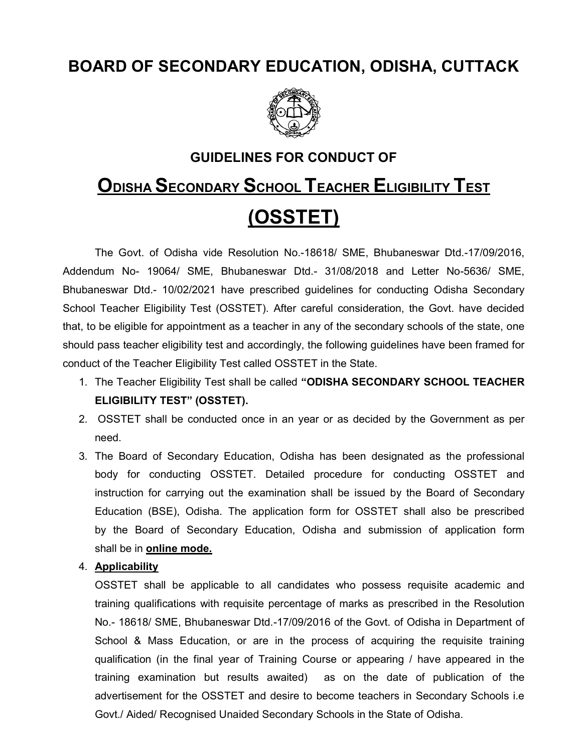# BOARD OF SECONDARY EDUCATION, ODISHA, CUTTACK



# GUIDELINES FOR CONDUCT OF

# ODISHA SECONDARY SCHOOL TEACHER ELIGIBILITY TEST (OSSTET)

 The Govt. of Odisha vide Resolution No.-18618/ SME, Bhubaneswar Dtd.-17/09/2016, Addendum No- 19064/ SME, Bhubaneswar Dtd.- 31/08/2018 and Letter No-5636/ SME, Bhubaneswar Dtd.- 10/02/2021 have prescribed guidelines for conducting Odisha Secondary School Teacher Eligibility Test (OSSTET). After careful consideration, the Govt. have decided that, to be eligible for appointment as a teacher in any of the secondary schools of the state, one should pass teacher eligibility test and accordingly, the following guidelines have been framed for conduct of the Teacher Eligibility Test called OSSTET in the State.

- 1. The Teacher Eligibility Test shall be called "ODISHA SECONDARY SCHOOL TEACHER ELIGIBILITY TEST" (OSSTET).
- 2. OSSTET shall be conducted once in an year or as decided by the Government as per need.
- 3. The Board of Secondary Education, Odisha has been designated as the professional body for conducting OSSTET. Detailed procedure for conducting OSSTET and instruction for carrying out the examination shall be issued by the Board of Secondary Education (BSE), Odisha. The application form for OSSTET shall also be prescribed by the Board of Secondary Education, Odisha and submission of application form shall be in **online mode.**

#### 4. Applicability

OSSTET shall be applicable to all candidates who possess requisite academic and training qualifications with requisite percentage of marks as prescribed in the Resolution No.- 18618/ SME, Bhubaneswar Dtd.-17/09/2016 of the Govt. of Odisha in Department of School & Mass Education, or are in the process of acquiring the requisite training qualification (in the final year of Training Course or appearing / have appeared in the training examination but results awaited) as on the date of publication of the advertisement for the OSSTET and desire to become teachers in Secondary Schools i.e Govt./ Aided/ Recognised Unaided Secondary Schools in the State of Odisha.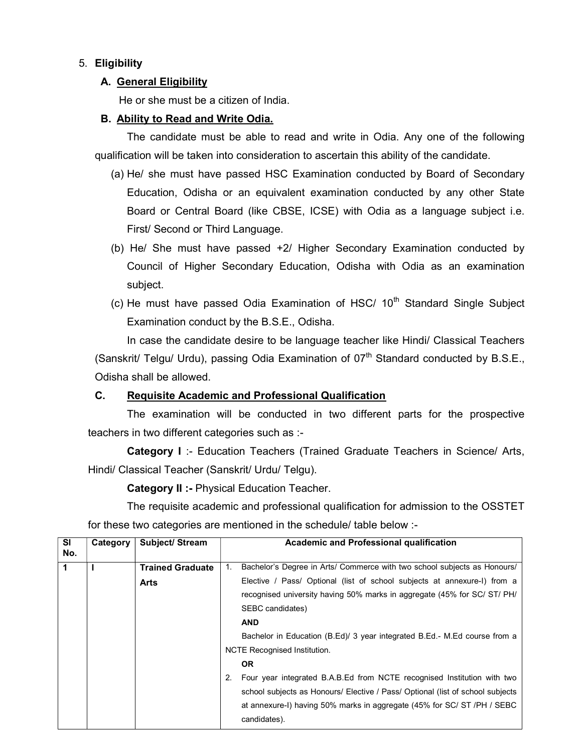# 5. Eligibility

## A. General Eligibility

He or she must be a citizen of India.

#### B. Ability to Read and Write Odia.

The candidate must be able to read and write in Odia. Any one of the following qualification will be taken into consideration to ascertain this ability of the candidate.

- (a) He/ she must have passed HSC Examination conducted by Board of Secondary Education, Odisha or an equivalent examination conducted by any other State Board or Central Board (like CBSE, ICSE) with Odia as a language subject i.e. First/ Second or Third Language.
- (b) He/ She must have passed +2/ Higher Secondary Examination conducted by Council of Higher Secondary Education, Odisha with Odia as an examination subject.
- (c) He must have passed Odia Examination of HSC/  $10<sup>th</sup>$  Standard Single Subject Examination conduct by the B.S.E., Odisha.

In case the candidate desire to be language teacher like Hindi/ Classical Teachers (Sanskrit/ Telgu/ Urdu), passing Odia Examination of  $07<sup>th</sup>$  Standard conducted by B.S.E., Odisha shall be allowed.

# C. Requisite Academic and Professional Qualification

The examination will be conducted in two different parts for the prospective teachers in two different categories such as :-

Category I :- Education Teachers (Trained Graduate Teachers in Science/ Arts, Hindi/ Classical Teacher (Sanskrit/ Urdu/ Telgu).

Category II :- Physical Education Teacher.

The requisite academic and professional qualification for admission to the OSSTET for these two categories are mentioned in the schedule/ table below :-

| <b>SI</b><br>No. | Category | Subject/ Stream                 | Academic and Professional qualification                                                                                                                                                                                                                                       |
|------------------|----------|---------------------------------|-------------------------------------------------------------------------------------------------------------------------------------------------------------------------------------------------------------------------------------------------------------------------------|
|                  |          | <b>Trained Graduate</b><br>Arts | Bachelor's Degree in Arts/ Commerce with two school subjects as Honours/<br>$1_{-}$<br>Elective / Pass/ Optional (list of school subjects at annexure-I) from a<br>recognised university having 50% marks in aggregate (45% for SC/ ST/ PH/<br>SEBC candidates)<br><b>AND</b> |
|                  |          |                                 | Bachelor in Education (B.Ed)/ 3 year integrated B.Ed.- M.Ed course from a<br><b>NCTE Recognised Institution.</b><br><b>OR</b><br>Four year integrated B.A.B.Ed from NCTE recognised Institution with two<br>2.                                                                |
|                  |          |                                 | school subjects as Honours/ Elective / Pass/ Optional (list of school subjects<br>at annexure-I) having 50% marks in aggregate (45% for SC/ ST /PH / SEBC<br>candidates).                                                                                                     |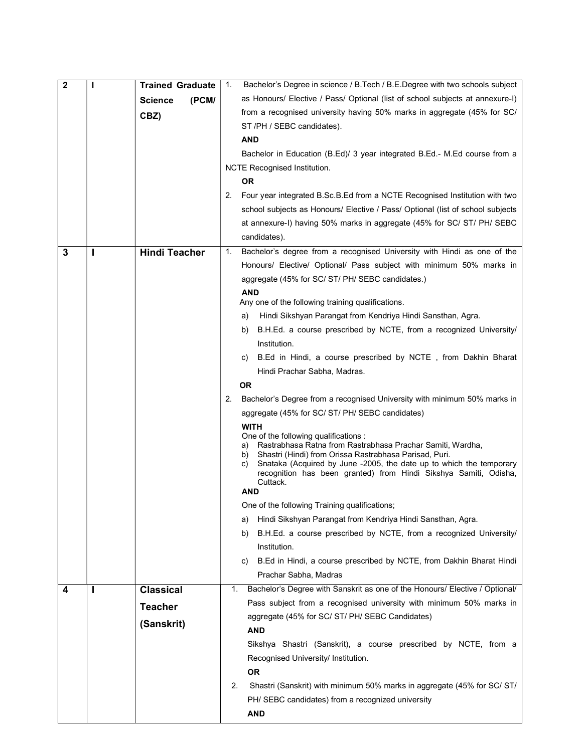| $\mathbf{2}$ | ı | <b>Trained Graduate</b> | Bachelor's Degree in science / B. Tech / B.E. Degree with two schools subject<br>1.                                                       |
|--------------|---|-------------------------|-------------------------------------------------------------------------------------------------------------------------------------------|
|              |   | <b>Science</b><br>(PCM) | as Honours/ Elective / Pass/ Optional (list of school subjects at annexure-I)                                                             |
|              |   | CBZ)                    | from a recognised university having 50% marks in aggregate (45% for SC/                                                                   |
|              |   |                         | ST/PH / SEBC candidates).                                                                                                                 |
|              |   |                         | <b>AND</b>                                                                                                                                |
|              |   |                         | Bachelor in Education (B.Ed)/ 3 year integrated B.Ed.- M.Ed course from a                                                                 |
|              |   |                         | NCTE Recognised Institution.                                                                                                              |
|              |   |                         | <b>OR</b>                                                                                                                                 |
|              |   |                         | Four year integrated B.Sc.B.Ed from a NCTE Recognised Institution with two<br>2.                                                          |
|              |   |                         | school subjects as Honours/ Elective / Pass/ Optional (list of school subjects                                                            |
|              |   |                         | at annexure-I) having 50% marks in aggregate (45% for SC/ ST/ PH/ SEBC                                                                    |
|              |   |                         | candidates).                                                                                                                              |
| 3            | ı | <b>Hindi Teacher</b>    | Bachelor's degree from a recognised University with Hindi as one of the<br>1.                                                             |
|              |   |                         | Honours/ Elective/ Optional/ Pass subject with minimum 50% marks in                                                                       |
|              |   |                         | aggregate (45% for SC/ ST/ PH/ SEBC candidates.)                                                                                          |
|              |   |                         | <b>AND</b>                                                                                                                                |
|              |   |                         | Any one of the following training qualifications.                                                                                         |
|              |   |                         | Hindi Sikshyan Parangat from Kendriya Hindi Sansthan, Agra.<br>a)                                                                         |
|              |   |                         | B.H.Ed. a course prescribed by NCTE, from a recognized University/<br>b)                                                                  |
|              |   |                         | Institution.                                                                                                                              |
|              |   |                         | B.Ed in Hindi, a course prescribed by NCTE, from Dakhin Bharat<br>C)                                                                      |
|              |   |                         | Hindi Prachar Sabha, Madras.                                                                                                              |
|              |   |                         | <b>OR</b>                                                                                                                                 |
|              |   |                         | 2.<br>Bachelor's Degree from a recognised University with minimum 50% marks in                                                            |
|              |   |                         | aggregate (45% for SC/ ST/ PH/ SEBC candidates)                                                                                           |
|              |   |                         | <b>WITH</b><br>One of the following qualifications :                                                                                      |
|              |   |                         | Rastrabhasa Ratna from Rastrabhasa Prachar Samiti, Wardha,<br>a)                                                                          |
|              |   |                         | Shastri (Hindi) from Orissa Rastrabhasa Parisad, Puri.<br>b)<br>Snataka (Acquired by June -2005, the date up to which the temporary<br>C) |
|              |   |                         | recognition has been granted) from Hindi Sikshya Samiti, Odisha,                                                                          |
|              |   |                         | Cuttack.<br>AND                                                                                                                           |
|              |   |                         | One of the following Training qualifications;                                                                                             |
|              |   |                         | Hindi Sikshyan Parangat from Kendriya Hindi Sansthan, Agra.<br>a)                                                                         |
|              |   |                         | B.H.Ed. a course prescribed by NCTE, from a recognized University/<br>b)                                                                  |
|              |   |                         | Institution.                                                                                                                              |
|              |   |                         | B.Ed in Hindi, a course prescribed by NCTE, from Dakhin Bharat Hindi<br>C)                                                                |
|              |   |                         | Prachar Sabha, Madras                                                                                                                     |
| 4            | ı | <b>Classical</b>        | Bachelor's Degree with Sanskrit as one of the Honours/ Elective / Optional/<br>1.                                                         |
|              |   | <b>Teacher</b>          | Pass subject from a recognised university with minimum 50% marks in                                                                       |
|              |   |                         | aggregate (45% for SC/ ST/ PH/ SEBC Candidates)                                                                                           |
|              |   | (Sanskrit)              | AND                                                                                                                                       |
|              |   |                         | Sikshya Shastri (Sanskrit), a course prescribed by NCTE, from a                                                                           |
|              |   |                         | Recognised University/ Institution.                                                                                                       |
|              |   |                         | 0R                                                                                                                                        |
|              |   |                         | Shastri (Sanskrit) with minimum 50% marks in aggregate (45% for SC/ ST/<br>2.                                                             |
|              |   |                         | PH/ SEBC candidates) from a recognized university                                                                                         |
|              |   |                         | <b>AND</b>                                                                                                                                |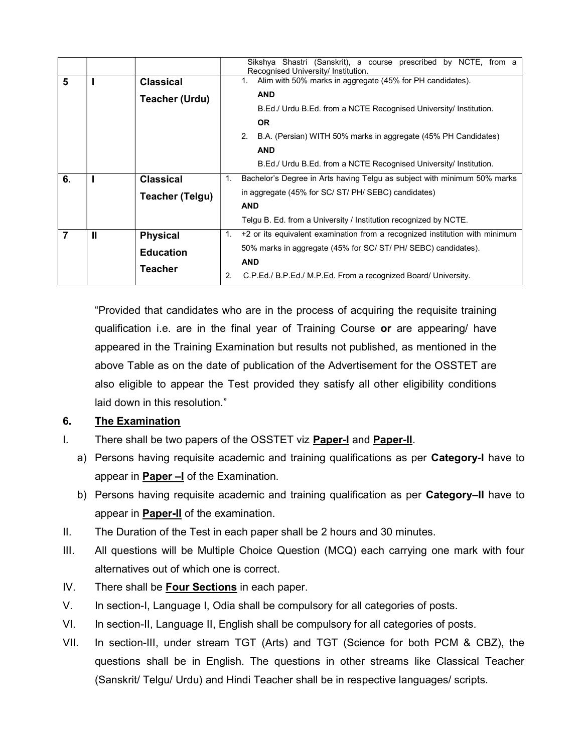|                |   |                        | Sikshya Shastri (Sanskrit), a course prescribed by NCTE, from a<br>Recognised University/ Institution. |
|----------------|---|------------------------|--------------------------------------------------------------------------------------------------------|
| 5              |   | <b>Classical</b>       | Alim with 50% marks in aggregate (45% for PH candidates).<br>1 <sup>1</sup>                            |
|                |   | <b>Teacher (Urdu)</b>  | <b>AND</b>                                                                                             |
|                |   |                        | B.Ed./ Urdu B.Ed. from a NCTE Recognised University/ Institution.                                      |
|                |   |                        | <b>OR</b>                                                                                              |
|                |   |                        | 2.<br>B.A. (Persian) WITH 50% marks in aggregate (45% PH Candidates)                                   |
|                |   |                        | <b>AND</b>                                                                                             |
|                |   |                        | B.Ed./ Urdu B.Ed. from a NCTE Recognised University/ Institution.                                      |
| 6.             |   | <b>Classical</b>       | Bachelor's Degree in Arts having Telgu as subject with minimum 50% marks<br>$1_{-}$                    |
|                |   | <b>Teacher (Telgu)</b> | in aggregate (45% for SC/ ST/ PH/ SEBC) candidates)                                                    |
|                |   |                        | <b>AND</b>                                                                                             |
|                |   |                        | Telgu B. Ed. from a University / Institution recognized by NCTE.                                       |
| $\overline{7}$ | Ш | <b>Physical</b>        | 1.<br>+2 or its equivalent examination from a recognized institution with minimum                      |
|                |   | <b>Education</b>       | 50% marks in aggregate (45% for SC/ ST/ PH/ SEBC) candidates).                                         |
|                |   | Teacher                | <b>AND</b>                                                                                             |
|                |   |                        | C.P.Ed./ B.P.Ed./ M.P.Ed. From a recognized Board/ University.<br>2.                                   |

"Provided that candidates who are in the process of acquiring the requisite training qualification i.e. are in the final year of Training Course or are appearing/ have appeared in the Training Examination but results not published, as mentioned in the above Table as on the date of publication of the Advertisement for the OSSTET are also eligible to appear the Test provided they satisfy all other eligibility conditions laid down in this resolution."

# 6. The Examination

- I. There shall be two papers of the OSSTET viz **Paper-I** and **Paper-II**.
	- a) Persons having requisite academic and training qualifications as per Category-I have to appear in Paper –I of the Examination.
	- b) Persons having requisite academic and training qualification as per Category–II have to appear in **Paper-II** of the examination.
- II. The Duration of the Test in each paper shall be 2 hours and 30 minutes.
- III. All questions will be Multiple Choice Question (MCQ) each carrying one mark with four alternatives out of which one is correct.
- IV. There shall be Four Sections in each paper.
- V. In section-I, Language I, Odia shall be compulsory for all categories of posts.
- VI. In section-II, Language II, English shall be compulsory for all categories of posts.
- VII. In section-III, under stream TGT (Arts) and TGT (Science for both PCM & CBZ), the questions shall be in English. The questions in other streams like Classical Teacher (Sanskrit/ Telgu/ Urdu) and Hindi Teacher shall be in respective languages/ scripts.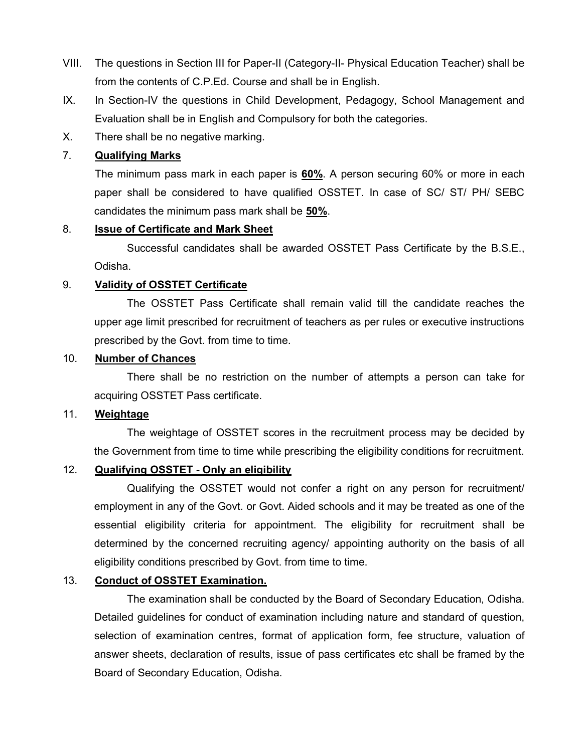- VIII. The questions in Section III for Paper-II (Category-II- Physical Education Teacher) shall be from the contents of C.P.Ed. Course and shall be in English.
- IX. In Section-IV the questions in Child Development, Pedagogy, School Management and Evaluation shall be in English and Compulsory for both the categories.
- X. There shall be no negative marking.

## 7. Qualifying Marks

 The minimum pass mark in each paper is 60%. A person securing 60% or more in each paper shall be considered to have qualified OSSTET. In case of SC/ ST/ PH/ SEBC candidates the minimum pass mark shall be 50%.

#### 8. Issue of Certificate and Mark Sheet

 Successful candidates shall be awarded OSSTET Pass Certificate by the B.S.E., Odisha.

#### 9. Validity of OSSTET Certificate

 The OSSTET Pass Certificate shall remain valid till the candidate reaches the upper age limit prescribed for recruitment of teachers as per rules or executive instructions prescribed by the Govt. from time to time.

#### 10. Number of Chances

 There shall be no restriction on the number of attempts a person can take for acquiring OSSTET Pass certificate.

#### 11. Weightage

 The weightage of OSSTET scores in the recruitment process may be decided by the Government from time to time while prescribing the eligibility conditions for recruitment.

# 12. Qualifying OSSTET - Only an eligibility

 Qualifying the OSSTET would not confer a right on any person for recruitment/ employment in any of the Govt. or Govt. Aided schools and it may be treated as one of the essential eligibility criteria for appointment. The eligibility for recruitment shall be determined by the concerned recruiting agency/ appointing authority on the basis of all eligibility conditions prescribed by Govt. from time to time.

#### 13. Conduct of OSSTET Examination.

 The examination shall be conducted by the Board of Secondary Education, Odisha. Detailed guidelines for conduct of examination including nature and standard of question, selection of examination centres, format of application form, fee structure, valuation of answer sheets, declaration of results, issue of pass certificates etc shall be framed by the Board of Secondary Education, Odisha.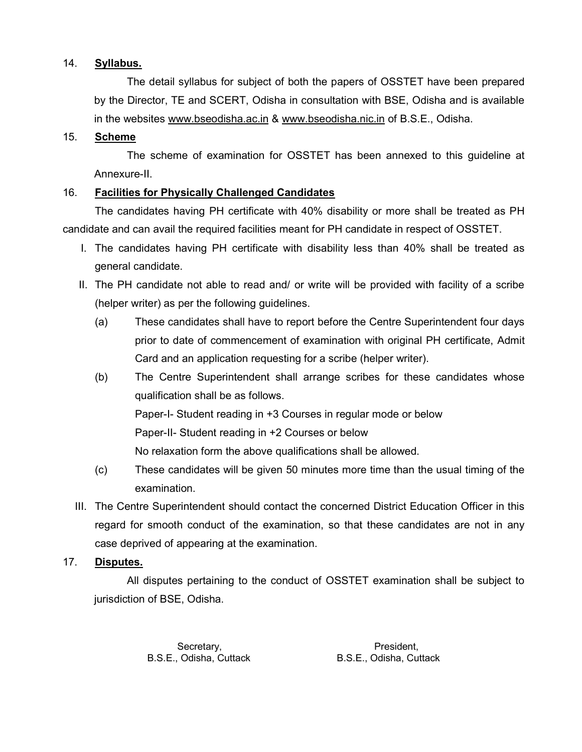## 14. Syllabus.

 The detail syllabus for subject of both the papers of OSSTET have been prepared by the Director, TE and SCERT, Odisha in consultation with BSE, Odisha and is available in the websites www.bseodisha.ac.in & www.bseodisha.nic.in of B.S.E., Odisha.

## 15. Scheme

 The scheme of examination for OSSTET has been annexed to this guideline at Annexure-II.

# 16. Facilities for Physically Challenged Candidates

The candidates having PH certificate with 40% disability or more shall be treated as PH candidate and can avail the required facilities meant for PH candidate in respect of OSSTET.

- I. The candidates having PH certificate with disability less than 40% shall be treated as general candidate.
- II. The PH candidate not able to read and/ or write will be provided with facility of a scribe (helper writer) as per the following guidelines.
	- (a) These candidates shall have to report before the Centre Superintendent four days prior to date of commencement of examination with original PH certificate, Admit Card and an application requesting for a scribe (helper writer).
	- (b) The Centre Superintendent shall arrange scribes for these candidates whose qualification shall be as follows. Paper-I- Student reading in +3 Courses in regular mode or below Paper-II- Student reading in +2 Courses or below No relaxation form the above qualifications shall be allowed.
	- (c) These candidates will be given 50 minutes more time than the usual timing of the examination.
- III. The Centre Superintendent should contact the concerned District Education Officer in this regard for smooth conduct of the examination, so that these candidates are not in any case deprived of appearing at the examination.

# 17. Disputes.

 All disputes pertaining to the conduct of OSSTET examination shall be subject to jurisdiction of BSE, Odisha.

B.S.E., Odisha, Cuttack B.S.E., Odisha, Cuttack

Secretary, **President,** President,